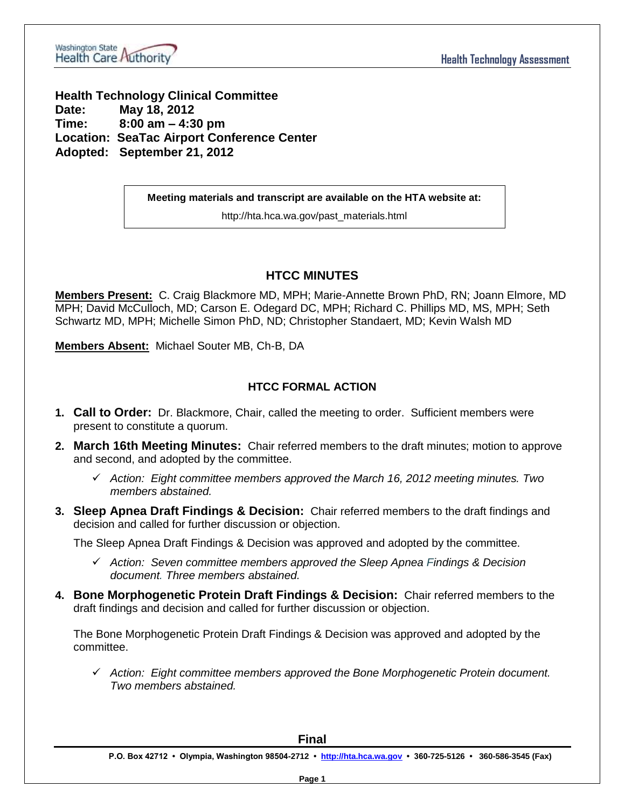

**Health Technology Clinical Committee Date: May 18, 2012 Time: 8:00 am – 4:30 pm Location: SeaTac Airport Conference Center Adopted: September 21, 2012**

**Meeting materials and transcript are available on the HTA website at:**

http://hta.hca.wa.gov/past\_materials.html

# **HTCC MINUTES**

**Members Present:** C. Craig Blackmore MD, MPH; Marie-Annette Brown PhD, RN; Joann Elmore, MD MPH; David McCulloch, MD; Carson E. Odegard DC, MPH; Richard C. Phillips MD, MS, MPH; Seth Schwartz MD, MPH; Michelle Simon PhD, ND; Christopher Standaert, MD; Kevin Walsh MD

**Members Absent:** Michael Souter MB, Ch-B, DA

# **HTCC FORMAL ACTION**

- **1. Call to Order:** Dr. Blackmore, Chair, called the meeting to order. Sufficient members were present to constitute a quorum.
- **2. March 16th Meeting Minutes:** Chair referred members to the draft minutes; motion to approve and second, and adopted by the committee.
	- *Action: Eight committee members approved the March 16, 2012 meeting minutes. Two members abstained.*
- **3. Sleep Apnea Draft Findings & Decision:** Chair referred members to the draft findings and decision and called for further discussion or objection.

The Sleep Apnea Draft Findings & Decision was approved and adopted by the committee.

- *Action: Seven committee members approved the Sleep Apnea Findings & Decision document. Three members abstained.*
- **4. Bone Morphogenetic Protein Draft Findings & Decision:** Chair referred members to the draft findings and decision and called for further discussion or objection.

The Bone Morphogenetic Protein Draft Findings & Decision was approved and adopted by the committee.

 *Action: Eight committee members approved the Bone Morphogenetic Protein document. Two members abstained.*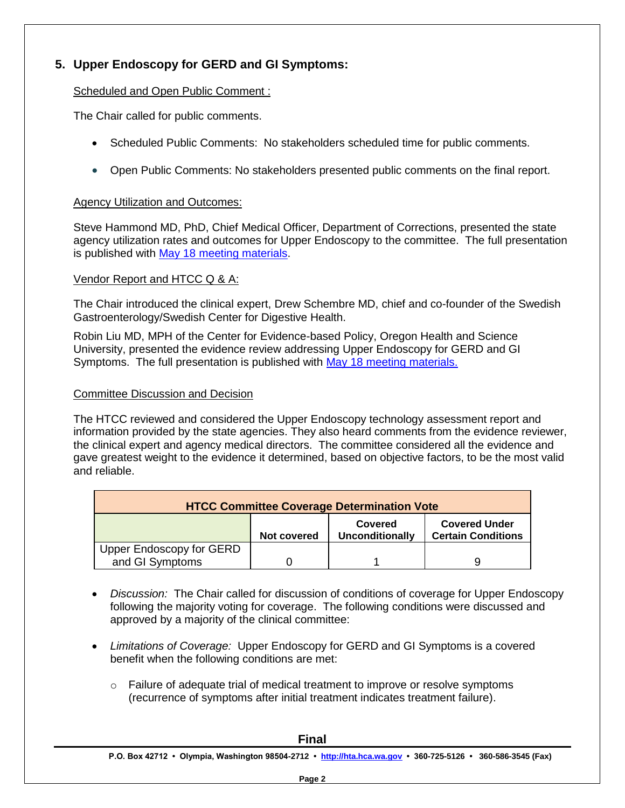# **5. Upper Endoscopy for GERD and GI Symptoms:**

## Scheduled and Open Public Comment :

The Chair called for public comments.

- Scheduled Public Comments: No stakeholders scheduled time for public comments.
- Open Public Comments: No stakeholders presented public comments on the final report.

## Agency Utilization and Outcomes:

Steve Hammond MD, PhD, Chief Medical Officer, Department of Corrections, presented the state agency utilization rates and outcomes for Upper Endoscopy to the committee. The full presentation is published with [May 18 meeting materials.](http://www.hta.hca.wa.gov/past_materials.html)

## Vendor Report and HTCC Q & A:

The Chair introduced the clinical expert, Drew Schembre MD, chief and co-founder of the Swedish Gastroenterology/Swedish Center for Digestive Health.

Robin Liu MD, MPH of the Center for Evidence-based Policy, Oregon Health and Science University, presented the evidence review addressing Upper Endoscopy for GERD and GI Symptoms. The full presentation is published with [May 18 meeting materials.](http://www.hta.hca.wa.gov/past_materials.html)

#### Committee Discussion and Decision

The HTCC reviewed and considered the Upper Endoscopy technology assessment report and information provided by the state agencies. They also heard comments from the evidence reviewer, the clinical expert and agency medical directors. The committee considered all the evidence and gave greatest weight to the evidence it determined, based on objective factors, to be the most valid and reliable.

| <b>HTCC Committee Coverage Determination Vote</b> |             |                                   |                                                   |  |  |
|---------------------------------------------------|-------------|-----------------------------------|---------------------------------------------------|--|--|
|                                                   | Not covered | Covered<br><b>Unconditionally</b> | <b>Covered Under</b><br><b>Certain Conditions</b> |  |  |
| <b>Upper Endoscopy for GERD</b>                   |             |                                   |                                                   |  |  |
| and GI Symptoms                                   |             |                                   |                                                   |  |  |

- *Discussion:* The Chair called for discussion of conditions of coverage for Upper Endoscopy following the majority voting for coverage. The following conditions were discussed and approved by a majority of the clinical committee:
- *Limitations of Coverage:* Upper Endoscopy for GERD and GI Symptoms is a covered benefit when the following conditions are met:
	- o Failure of adequate trial of medical treatment to improve or resolve symptoms (recurrence of symptoms after initial treatment indicates treatment failure).

| <b>Final</b> |                                                                                                             |  |  |  |  |
|--------------|-------------------------------------------------------------------------------------------------------------|--|--|--|--|
|              | P.O. Box 42712 • Olympia, Washington 98504-2712 • http://hta.hca.wa.gov • 360-725-5126 • 360-586-3545 (Fax) |  |  |  |  |
|              | Page 2                                                                                                      |  |  |  |  |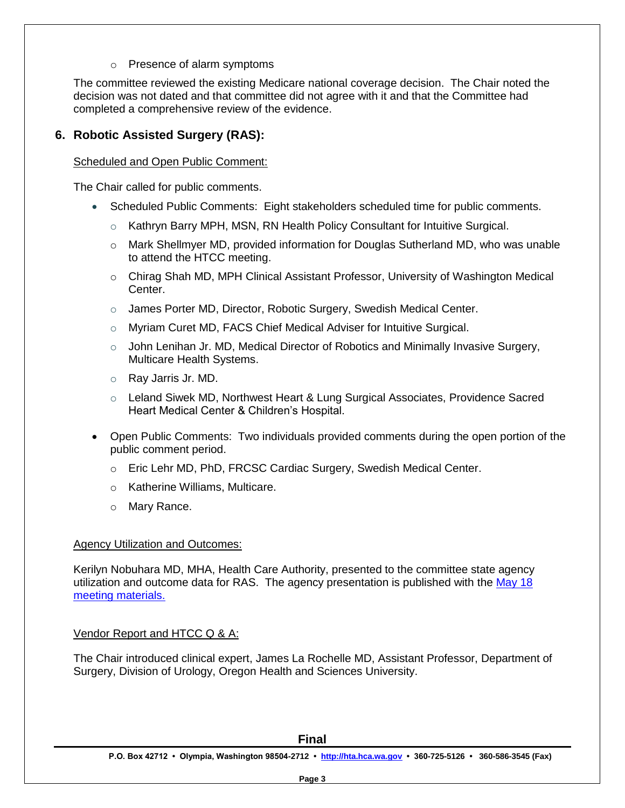o Presence of alarm symptoms

The committee reviewed the existing Medicare national coverage decision. The Chair noted the decision was not dated and that committee did not agree with it and that the Committee had completed a comprehensive review of the evidence.

# **6. Robotic Assisted Surgery (RAS):**

#### Scheduled and Open Public Comment:

The Chair called for public comments.

- Scheduled Public Comments: Eight stakeholders scheduled time for public comments.
	- $\circ$  Kathryn Barry MPH, MSN, RN Health Policy Consultant for Intuitive Surgical.
	- $\circ$  Mark Shellmyer MD, provided information for Douglas Sutherland MD, who was unable to attend the HTCC meeting.
	- o Chirag Shah MD, MPH Clinical Assistant Professor, University of Washington Medical Center.
	- o James Porter MD, Director, Robotic Surgery, Swedish Medical Center.
	- o Myriam Curet MD, FACS Chief Medical Adviser for Intuitive Surgical.
	- $\circ$  John Lenihan Jr. MD, Medical Director of Robotics and Minimally Invasive Surgery, Multicare Health Systems.
	- o Ray Jarris Jr. MD.
	- o Leland Siwek MD, Northwest Heart & Lung Surgical Associates, Providence Sacred Heart Medical Center & Children's Hospital.
- Open Public Comments: Two individuals provided comments during the open portion of the public comment period.
	- o Eric Lehr MD, PhD, FRCSC Cardiac Surgery, Swedish Medical Center.
	- o Katherine Williams, Multicare.
	- o Mary Rance.

#### Agency Utilization and Outcomes:

Kerilyn Nobuhara MD, MHA, Health Care Authority, presented to the committee state agency utilization and outcome data for RAS. The agency presentation is published with the [May 18](http://www.hta.hca.wa.gov/past_materials.html)  [meeting materials.](http://www.hta.hca.wa.gov/past_materials.html)

## Vendor Report and HTCC Q & A:

The Chair introduced clinical expert, James La Rochelle MD, Assistant Professor, Department of Surgery, Division of Urology, Oregon Health and Sciences University.